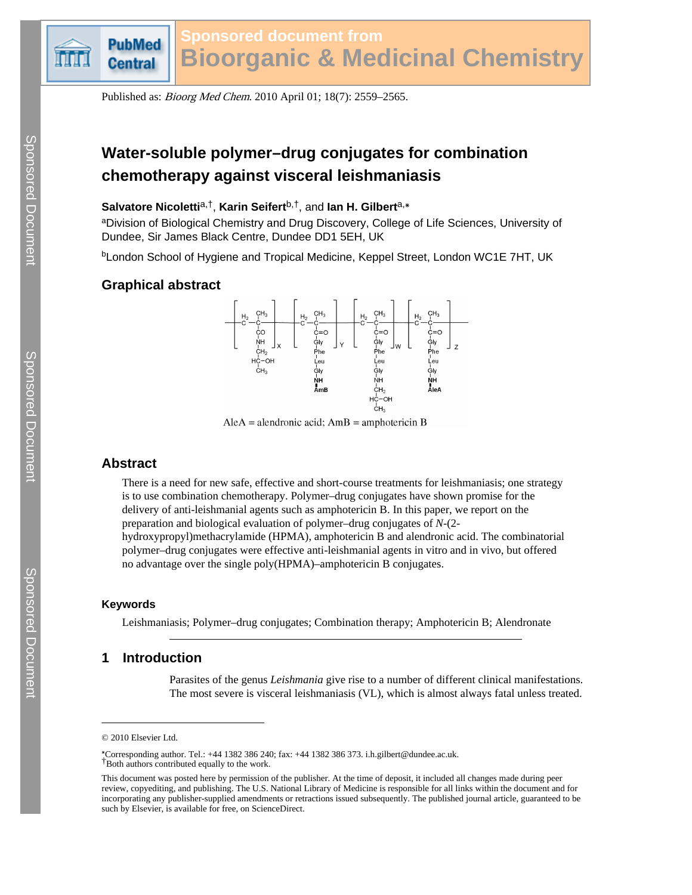

Published as: *Bioorg Med Chem.* 2010 April 01; 18(7): 2559-2565.

# **Water-soluble polymer–drug conjugates for combination chemotherapy against visceral leishmaniasis**

# Salvatore Nicoletti<sup>a,†</sup>, Karin Seifert<sup>b,†</sup>, and lan H. Gilbert<sup>a,\*</sup>

aDivision of Biological Chemistry and Drug Discovery, College of Life Sciences, University of Dundee, Sir James Black Centre, Dundee DD1 5EH, UK

<sup>b</sup>London School of Hygiene and Tropical Medicine, Keppel Street, London WC1E 7HT, UK

# **Graphical abstract**



 $A$ le $A$  = alendronic acid;  $AmB$  = amphotericin B

# **Abstract**

There is a need for new safe, effective and short-course treatments for leishmaniasis; one strategy is to use combination chemotherapy. Polymer–drug conjugates have shown promise for the delivery of anti-leishmanial agents such as amphotericin B. In this paper, we report on the preparation and biological evaluation of polymer–drug conjugates of *N*-(2 hydroxypropyl)methacrylamide (HPMA), amphotericin B and alendronic acid. The combinatorial polymer–drug conjugates were effective anti-leishmanial agents in vitro and in vivo, but offered no advantage over the single poly(HPMA)–amphotericin B conjugates.

### **Keywords**

Leishmaniasis; Polymer–drug conjugates; Combination therapy; Amphotericin B; Alendronate

# **1 Introduction**

Parasites of the genus *Leishmania* give rise to a number of different clinical manifestations. The most severe is visceral leishmaniasis (VL), which is almost always fatal unless treated.

<sup>© 2010</sup> Elsevier Ltd.

<sup>⁎</sup>Corresponding author. Tel.: +44 1382 386 240; fax: +44 1382 386 373. i.h.gilbert@dundee.ac.uk. †Both authors contributed equally to the work.

This document was posted here by permission of the publisher. At the time of deposit, it included all changes made during peer review, copyediting, and publishing. The U.S. National Library of Medicine is responsible for all links within the document and for incorporating any publisher-supplied amendments or retractions issued subsequently. The published journal article, guaranteed to be such by Elsevier, is available for free, on ScienceDirect.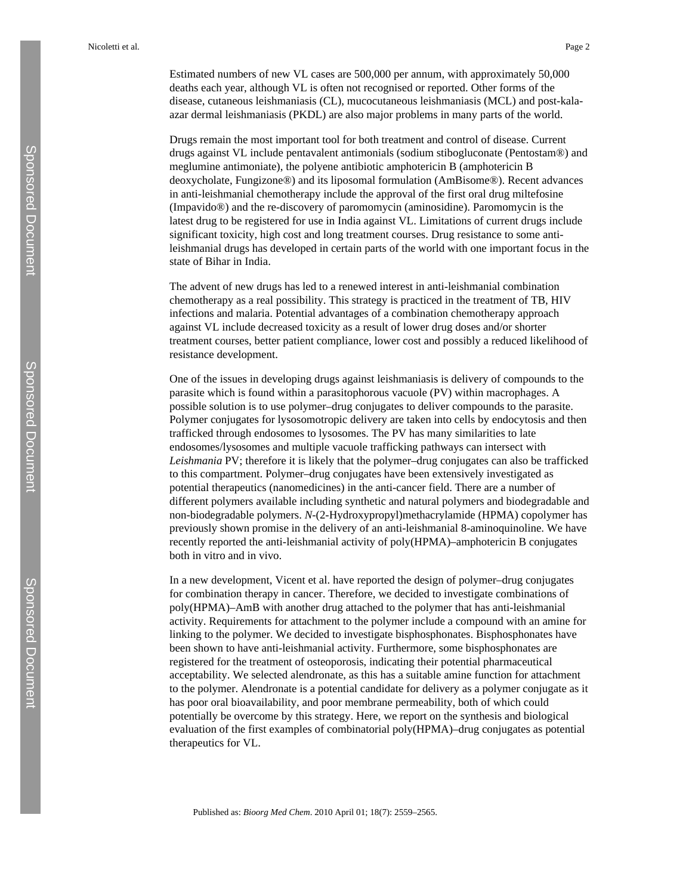Estimated numbers of new VL cases are 500,000 per annum, with approximately 50,000 deaths each year, although VL is often not recognised or reported. Other forms of the disease, cutaneous leishmaniasis (CL), mucocutaneous leishmaniasis (MCL) and post-kalaazar dermal leishmaniasis (PKDL) are also major problems in many parts of the world.

Drugs remain the most important tool for both treatment and control of disease. Current drugs against VL include pentavalent antimonials (sodium stibogluconate (Pentostam®) and meglumine antimoniate), the polyene antibiotic amphotericin B (amphotericin B deoxycholate, Fungizone®) and its liposomal formulation (AmBisome®). Recent advances in anti-leishmanial chemotherapy include the approval of the first oral drug miltefosine (Impavido®) and the re-discovery of paromomycin (aminosidine). Paromomycin is the latest drug to be registered for use in India against VL. Limitations of current drugs include significant toxicity, high cost and long treatment courses. Drug resistance to some antileishmanial drugs has developed in certain parts of the world with one important focus in the state of Bihar in India.

The advent of new drugs has led to a renewed interest in anti-leishmanial combination chemotherapy as a real possibility. This strategy is practiced in the treatment of TB, HIV infections and malaria. Potential advantages of a combination chemotherapy approach against VL include decreased toxicity as a result of lower drug doses and/or shorter treatment courses, better patient compliance, lower cost and possibly a reduced likelihood of resistance development.

One of the issues in developing drugs against leishmaniasis is delivery of compounds to the parasite which is found within a parasitophorous vacuole (PV) within macrophages. A possible solution is to use polymer–drug conjugates to deliver compounds to the parasite. Polymer conjugates for lysosomotropic delivery are taken into cells by endocytosis and then trafficked through endosomes to lysosomes. The PV has many similarities to late endosomes/lysosomes and multiple vacuole trafficking pathways can intersect with *Leishmania* PV; therefore it is likely that the polymer–drug conjugates can also be trafficked to this compartment. Polymer–drug conjugates have been extensively investigated as potential therapeutics (nanomedicines) in the anti-cancer field. There are a number of different polymers available including synthetic and natural polymers and biodegradable and non-biodegradable polymers. *N*-(2-Hydroxypropyl)methacrylamide (HPMA) copolymer has previously shown promise in the delivery of an anti-leishmanial 8-aminoquinoline. We have recently reported the anti-leishmanial activity of poly(HPMA)–amphotericin B conjugates both in vitro and in vivo.

In a new development, Vicent et al. have reported the design of polymer–drug conjugates for combination therapy in cancer. Therefore, we decided to investigate combinations of poly(HPMA)–AmB with another drug attached to the polymer that has anti-leishmanial activity. Requirements for attachment to the polymer include a compound with an amine for linking to the polymer. We decided to investigate bisphosphonates. Bisphosphonates have been shown to have anti-leishmanial activity. Furthermore, some bisphosphonates are registered for the treatment of osteoporosis, indicating their potential pharmaceutical acceptability. We selected alendronate, as this has a suitable amine function for attachment to the polymer. Alendronate is a potential candidate for delivery as a polymer conjugate as it has poor oral bioavailability, and poor membrane permeability, both of which could potentially be overcome by this strategy. Here, we report on the synthesis and biological evaluation of the first examples of combinatorial poly(HPMA)–drug conjugates as potential therapeutics for VL.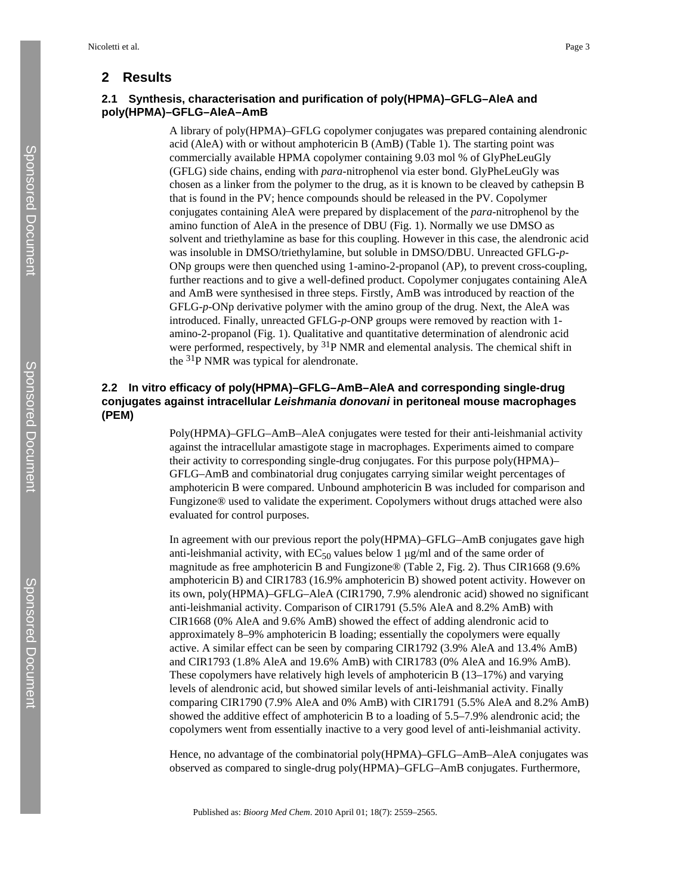## **2 Results**

# **2.1 Synthesis, characterisation and purification of poly(HPMA)–GFLG–AleA and poly(HPMA)–GFLG–AleA–AmB**

A library of poly(HPMA)–GFLG copolymer conjugates was prepared containing alendronic acid (AleA) with or without amphotericin B (AmB) (Table 1). The starting point was commercially available HPMA copolymer containing 9.03 mol % of GlyPheLeuGly (GFLG) side chains, ending with *para*-nitrophenol via ester bond. GlyPheLeuGly was chosen as a linker from the polymer to the drug, as it is known to be cleaved by cathepsin B that is found in the PV; hence compounds should be released in the PV. Copolymer conjugates containing AleA were prepared by displacement of the *para-*nitrophenol by the amino function of AleA in the presence of DBU (Fig. 1). Normally we use DMSO as solvent and triethylamine as base for this coupling. However in this case, the alendronic acid was insoluble in DMSO/triethylamine, but soluble in DMSO/DBU. Unreacted GFLG-*p*-ONp groups were then quenched using 1-amino-2-propanol (AP), to prevent cross-coupling, further reactions and to give a well-defined product. Copolymer conjugates containing AleA and AmB were synthesised in three steps. Firstly, AmB was introduced by reaction of the GFLG-*p*-ONp derivative polymer with the amino group of the drug. Next, the AleA was introduced. Finally, unreacted GFLG-*p*-ONP groups were removed by reaction with 1 amino-2-propanol (Fig. 1). Qualitative and quantitative determination of alendronic acid were performed, respectively, by <sup>31</sup>P NMR and elemental analysis. The chemical shift in the  ${}^{31}P$  NMR was typical for alendronate.

## **2.2 In vitro efficacy of poly(HPMA)–GFLG–AmB–AleA and corresponding single-drug conjugates against intracellular** *Leishmania donovani* **in peritoneal mouse macrophages (PEM)**

Poly(HPMA)–GFLG–AmB–AleA conjugates were tested for their anti-leishmanial activity against the intracellular amastigote stage in macrophages. Experiments aimed to compare their activity to corresponding single-drug conjugates. For this purpose poly(HPMA)– GFLG–AmB and combinatorial drug conjugates carrying similar weight percentages of amphotericin B were compared. Unbound amphotericin B was included for comparison and Fungizone® used to validate the experiment. Copolymers without drugs attached were also evaluated for control purposes.

In agreement with our previous report the poly(HPMA)–GFLG–AmB conjugates gave high anti-leishmanial activity, with  $EC_{50}$  values below 1  $\mu$ g/ml and of the same order of magnitude as free amphotericin B and Fungizone® (Table 2, Fig. 2). Thus CIR1668 (9.6% amphotericin B) and CIR1783 (16.9% amphotericin B) showed potent activity. However on its own, poly(HPMA)–GFLG–AleA (CIR1790, 7.9% alendronic acid) showed no significant anti-leishmanial activity. Comparison of CIR1791 (5.5% AleA and 8.2% AmB) with CIR1668 (0% AleA and 9.6% AmB) showed the effect of adding alendronic acid to approximately 8–9% amphotericin B loading; essentially the copolymers were equally active. A similar effect can be seen by comparing CIR1792 (3.9% AleA and 13.4% AmB) and CIR1793 (1.8% AleA and 19.6% AmB) with CIR1783 (0% AleA and 16.9% AmB). These copolymers have relatively high levels of amphotericin B (13–17%) and varying levels of alendronic acid, but showed similar levels of anti-leishmanial activity. Finally comparing CIR1790 (7.9% AleA and 0% AmB) with CIR1791 (5.5% AleA and 8.2% AmB) showed the additive effect of amphotericin B to a loading of 5.5–7.9% alendronic acid; the copolymers went from essentially inactive to a very good level of anti-leishmanial activity.

Hence, no advantage of the combinatorial poly(HPMA)–GFLG–AmB–AleA conjugates was observed as compared to single-drug poly(HPMA)–GFLG–AmB conjugates. Furthermore,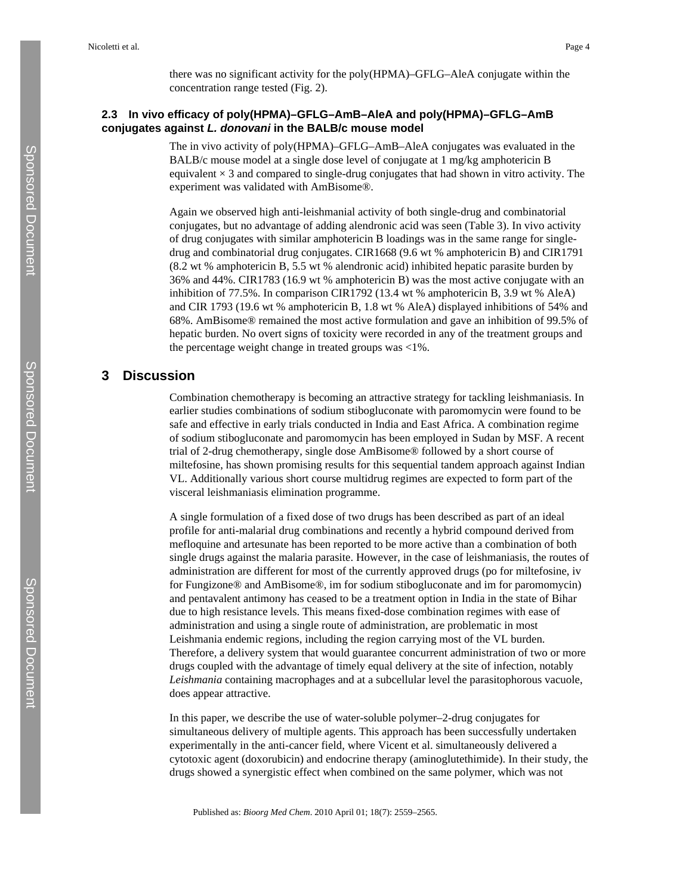there was no significant activity for the poly(HPMA)–GFLG–AleA conjugate within the concentration range tested (Fig. 2).

## **2.3 In vivo efficacy of poly(HPMA)–GFLG–AmB–AleA and poly(HPMA)–GFLG–AmB conjugates against** *L. donovani* **in the BALB/c mouse model**

The in vivo activity of poly(HPMA)–GFLG–AmB–AleA conjugates was evaluated in the BALB/c mouse model at a single dose level of conjugate at 1 mg/kg amphotericin B equivalent  $\times$  3 and compared to single-drug conjugates that had shown in vitro activity. The experiment was validated with AmBisome®.

Again we observed high anti-leishmanial activity of both single-drug and combinatorial conjugates, but no advantage of adding alendronic acid was seen (Table 3). In vivo activity of drug conjugates with similar amphotericin B loadings was in the same range for singledrug and combinatorial drug conjugates. CIR1668 (9.6 wt % amphotericin B) and CIR1791 (8.2 wt % amphotericin B, 5.5 wt % alendronic acid) inhibited hepatic parasite burden by 36% and 44%. CIR1783 (16.9 wt % amphotericin B) was the most active conjugate with an inhibition of 77.5%. In comparison CIR1792 (13.4 wt % amphotericin B, 3.9 wt % AleA) and CIR 1793 (19.6 wt % amphotericin B, 1.8 wt % AleA) displayed inhibitions of 54% and 68%. AmBisome® remained the most active formulation and gave an inhibition of 99.5% of hepatic burden. No overt signs of toxicity were recorded in any of the treatment groups and the percentage weight change in treated groups was <1%.

# **3 Discussion**

Combination chemotherapy is becoming an attractive strategy for tackling leishmaniasis. In earlier studies combinations of sodium stibogluconate with paromomycin were found to be safe and effective in early trials conducted in India and East Africa. A combination regime of sodium stibogluconate and paromomycin has been employed in Sudan by MSF. A recent trial of 2-drug chemotherapy, single dose AmBisome® followed by a short course of miltefosine, has shown promising results for this sequential tandem approach against Indian VL. Additionally various short course multidrug regimes are expected to form part of the visceral leishmaniasis elimination programme.

A single formulation of a fixed dose of two drugs has been described as part of an ideal profile for anti-malarial drug combinations and recently a hybrid compound derived from mefloquine and artesunate has been reported to be more active than a combination of both single drugs against the malaria parasite. However, in the case of leishmaniasis, the routes of administration are different for most of the currently approved drugs (po for miltefosine, iv for Fungizone® and AmBisome®, im for sodium stibogluconate and im for paromomycin) and pentavalent antimony has ceased to be a treatment option in India in the state of Bihar due to high resistance levels. This means fixed-dose combination regimes with ease of administration and using a single route of administration, are problematic in most Leishmania endemic regions, including the region carrying most of the VL burden. Therefore, a delivery system that would guarantee concurrent administration of two or more drugs coupled with the advantage of timely equal delivery at the site of infection, notably *Leishmania* containing macrophages and at a subcellular level the parasitophorous vacuole, does appear attractive.

In this paper, we describe the use of water-soluble polymer–2-drug conjugates for simultaneous delivery of multiple agents. This approach has been successfully undertaken experimentally in the anti-cancer field, where Vicent et al. simultaneously delivered a cytotoxic agent (doxorubicin) and endocrine therapy (aminoglutethimide). In their study, the drugs showed a synergistic effect when combined on the same polymer, which was not

Published as: *Bioorg Med Chem*. 2010 April 01; 18(7): 2559–2565.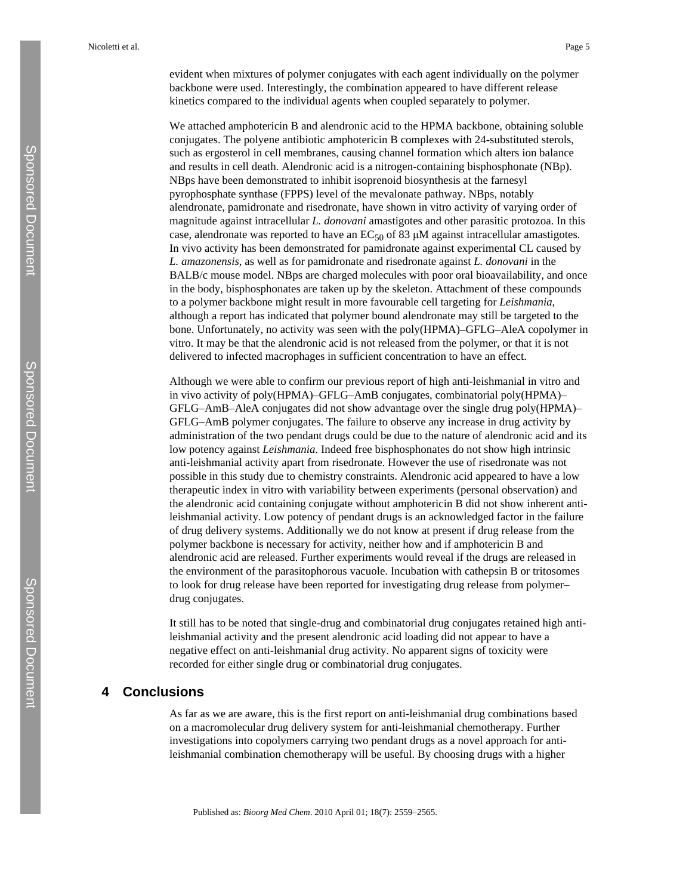evident when mixtures of polymer conjugates with each agent individually on the polymer backbone were used. Interestingly, the combination appeared to have different release kinetics compared to the individual agents when coupled separately to polymer.

We attached amphotericin B and alendronic acid to the HPMA backbone, obtaining soluble conjugates. The polyene antibiotic amphotericin B complexes with 24-substituted sterols, such as ergosterol in cell membranes, causing channel formation which alters ion balance and results in cell death. Alendronic acid is a nitrogen-containing bisphosphonate (NBp). NBps have been demonstrated to inhibit isoprenoid biosynthesis at the farnesyl pyrophosphate synthase (FPPS) level of the mevalonate pathway. NBps, notably alendronate, pamidronate and risedronate, have shown in vitro activity of varying order of magnitude against intracellular *L. donovani* amastigotes and other parasitic protozoa. In this case, alendronate was reported to have an  $EC_{50}$  of 83  $\mu$ M against intracellular amastigotes. In vivo activity has been demonstrated for pamidronate against experimental CL caused by *L. amazonensis*, as well as for pamidronate and risedronate against *L. donovani* in the BALB/c mouse model. NBps are charged molecules with poor oral bioavailability, and once in the body, bisphosphonates are taken up by the skeleton. Attachment of these compounds to a polymer backbone might result in more favourable cell targeting for *Leishmania*, although a report has indicated that polymer bound alendronate may still be targeted to the bone. Unfortunately, no activity was seen with the poly(HPMA)–GFLG–AleA copolymer in vitro. It may be that the alendronic acid is not released from the polymer, or that it is not delivered to infected macrophages in sufficient concentration to have an effect.

Although we were able to confirm our previous report of high anti-leishmanial in vitro and in vivo activity of poly(HPMA)–GFLG–AmB conjugates, combinatorial poly(HPMA)– GFLG–AmB–AleA conjugates did not show advantage over the single drug poly(HPMA)– GFLG–AmB polymer conjugates. The failure to observe any increase in drug activity by administration of the two pendant drugs could be due to the nature of alendronic acid and its low potency against *Leishmania*. Indeed free bisphosphonates do not show high intrinsic anti-leishmanial activity apart from risedronate. However the use of risedronate was not possible in this study due to chemistry constraints. Alendronic acid appeared to have a low therapeutic index in vitro with variability between experiments (personal observation) and the alendronic acid containing conjugate without amphotericin B did not show inherent antileishmanial activity. Low potency of pendant drugs is an acknowledged factor in the failure of drug delivery systems. Additionally we do not know at present if drug release from the polymer backbone is necessary for activity, neither how and if amphotericin B and alendronic acid are released. Further experiments would reveal if the drugs are released in the environment of the parasitophorous vacuole. Incubation with cathepsin B or tritosomes to look for drug release have been reported for investigating drug release from polymer– drug conjugates.

It still has to be noted that single-drug and combinatorial drug conjugates retained high antileishmanial activity and the present alendronic acid loading did not appear to have a negative effect on anti-leishmanial drug activity. No apparent signs of toxicity were recorded for either single drug or combinatorial drug conjugates.

## **4 Conclusions**

As far as we are aware, this is the first report on anti-leishmanial drug combinations based on a macromolecular drug delivery system for anti-leishmanial chemotherapy. Further investigations into copolymers carrying two pendant drugs as a novel approach for antileishmanial combination chemotherapy will be useful. By choosing drugs with a higher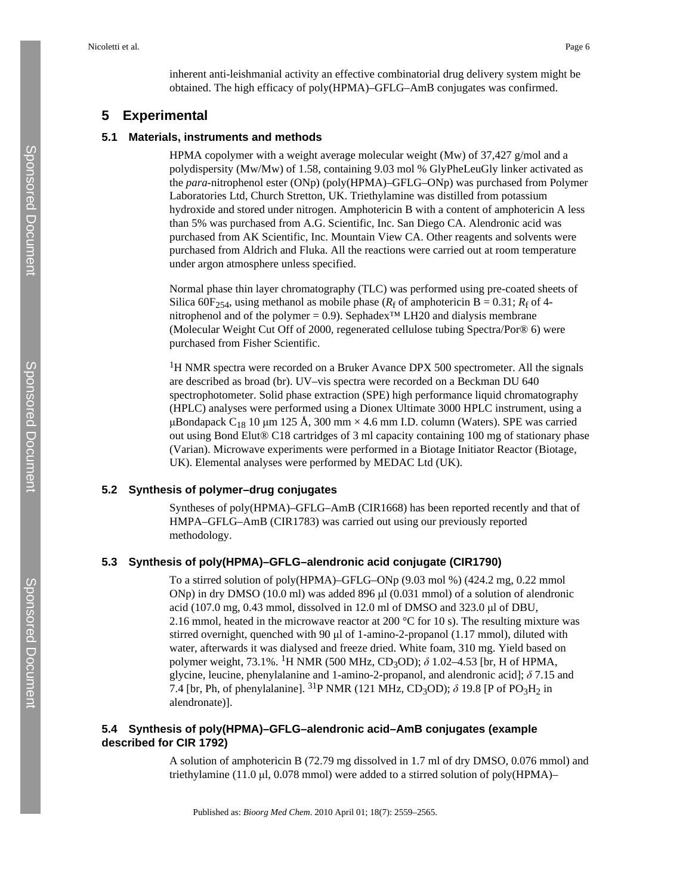inherent anti-leishmanial activity an effective combinatorial drug delivery system might be obtained. The high efficacy of poly(HPMA)–GFLG–AmB conjugates was confirmed.

# **5 Experimental**

#### **5.1 Materials, instruments and methods**

HPMA copolymer with a weight average molecular weight (Mw) of 37,427 g/mol and a polydispersity (Mw/Mw) of 1.58, containing 9.03 mol % GlyPheLeuGly linker activated as the *para-*nitrophenol ester (ONp) (poly(HPMA)–GFLG–ONp) was purchased from Polymer Laboratories Ltd, Church Stretton, UK. Triethylamine was distilled from potassium hydroxide and stored under nitrogen. Amphotericin B with a content of amphotericin A less than 5% was purchased from A.G. Scientific, Inc. San Diego CA. Alendronic acid was purchased from AK Scientific, Inc. Mountain View CA. Other reagents and solvents were purchased from Aldrich and Fluka. All the reactions were carried out at room temperature under argon atmosphere unless specified.

Normal phase thin layer chromatography (TLC) was performed using pre-coated sheets of Silica 60F<sub>254</sub>, using methanol as mobile phase ( $R_f$  of amphotericin B = 0.31;  $R_f$  of 4nitrophenol and of the polymer = 0.9). Sephadex<sup>™</sup> LH20 and dialysis membrane (Molecular Weight Cut Off of 2000, regenerated cellulose tubing Spectra/Por® 6) were purchased from Fisher Scientific.

<sup>1</sup>H NMR spectra were recorded on a Bruker Avance DPX 500 spectrometer. All the signals are described as broad (br). UV–vis spectra were recorded on a Beckman DU 640 spectrophotometer. Solid phase extraction (SPE) high performance liquid chromatography (HPLC) analyses were performed using a Dionex Ultimate 3000 HPLC instrument, using a μBondapack C<sub>18</sub> 10 μm 125 Å, 300 mm × 4.6 mm I.D. column (Waters). SPE was carried out using Bond Elut® C18 cartridges of 3 ml capacity containing 100 mg of stationary phase (Varian). Microwave experiments were performed in a Biotage Initiator Reactor (Biotage, UK). Elemental analyses were performed by MEDAC Ltd (UK).

#### **5.2 Synthesis of polymer–drug conjugates**

Syntheses of poly(HPMA)–GFLG–AmB (CIR1668) has been reported recently and that of HMPA–GFLG–AmB (CIR1783) was carried out using our previously reported methodology.

### **5.3 Synthesis of poly(HPMA)–GFLG–alendronic acid conjugate (CIR1790)**

To a stirred solution of poly(HPMA)–GFLG–ONp (9.03 mol %) (424.2 mg, 0.22 mmol ONp) in dry DMSO (10.0 ml) was added 896 μl (0.031 mmol) of a solution of alendronic acid (107.0 mg, 0.43 mmol, dissolved in 12.0 ml of DMSO and 323.0 μl of DBU, 2.16 mmol, heated in the microwave reactor at 200 °C for 10 s). The resulting mixture was stirred overnight, quenched with 90 μl of 1-amino-2-propanol (1.17 mmol), diluted with water, afterwards it was dialysed and freeze dried. White foam, 310 mg. Yield based on polymer weight, 73.1%. <sup>1</sup>H NMR (500 MHz, CD<sub>3</sub>OD);  $\delta$  1.02–4.53 [br, H of HPMA, glycine, leucine, phenylalanine and 1-amino-2-propanol, and alendronic acid]; *δ* 7.15 and 7.4 [br, Ph, of phenylalanine]. <sup>31</sup>P NMR (121 MHz, CD<sub>3</sub>OD);  $\delta$  19.8 [P of PO<sub>3</sub>H<sub>2</sub> in alendronate)].

### **5.4 Synthesis of poly(HPMA)–GFLG–alendronic acid–AmB conjugates (example described for CIR 1792)**

A solution of amphotericin B (72.79 mg dissolved in 1.7 ml of dry DMSO, 0.076 mmol) and triethylamine (11.0 μl, 0.078 mmol) were added to a stirred solution of poly(HPMA)–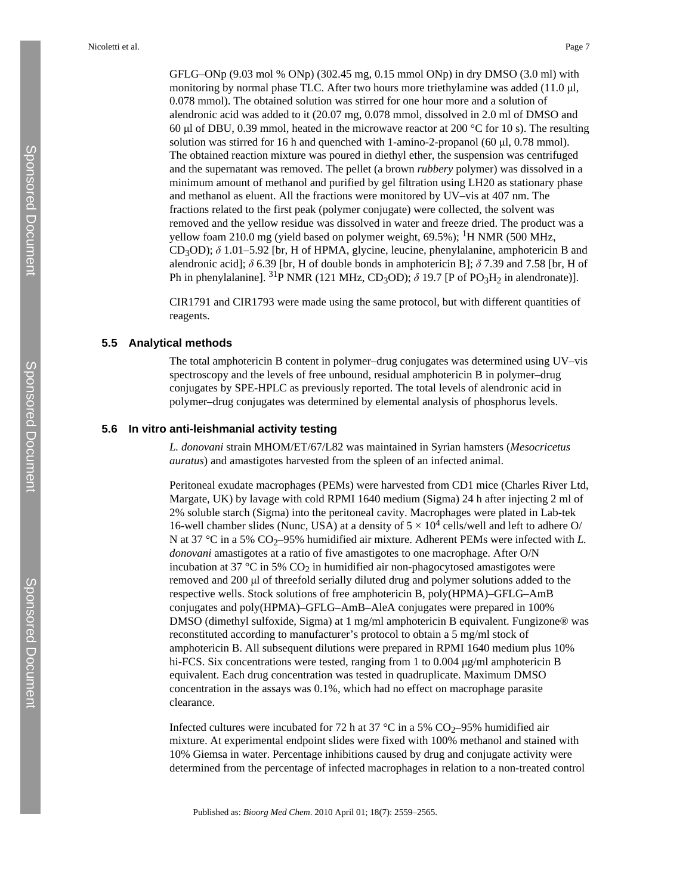GFLG–ONp (9.03 mol % ONp) (302.45 mg, 0.15 mmol ONp) in dry DMSO (3.0 ml) with monitoring by normal phase TLC. After two hours more triethylamine was added (11.0 μl, 0.078 mmol). The obtained solution was stirred for one hour more and a solution of alendronic acid was added to it (20.07 mg, 0.078 mmol, dissolved in 2.0 ml of DMSO and 60 μl of DBU, 0.39 mmol, heated in the microwave reactor at 200 °C for 10 s). The resulting solution was stirred for 16 h and quenched with 1-amino-2-propanol (60  $\mu$ l, 0.78 mmol). The obtained reaction mixture was poured in diethyl ether, the suspension was centrifuged and the supernatant was removed. The pellet (a brown *rubbery* polymer) was dissolved in a minimum amount of methanol and purified by gel filtration using LH20 as stationary phase and methanol as eluent. All the fractions were monitored by UV–vis at 407 nm. The fractions related to the first peak (polymer conjugate) were collected, the solvent was removed and the yellow residue was dissolved in water and freeze dried. The product was a yellow foam 210.0 mg (yield based on polymer weight, 69.5%); <sup>1</sup>H NMR (500 MHz, CD<sub>3</sub>OD);  $\delta$  1.01–5.92 [br, H of HPMA, glycine, leucine, phenylalanine, amphotericin B and alendronic acid]; *δ* 6.39 [br, H of double bonds in amphotericin B]; *δ* 7.39 and 7.58 [br, H of Ph in phenylalanine]. <sup>31</sup>P NMR (121 MHz, CD<sub>3</sub>OD);  $\delta$  19.7 [P of PO<sub>3</sub>H<sub>2</sub> in alendronate)].

CIR1791 and CIR1793 were made using the same protocol, but with different quantities of reagents.

#### **5.5 Analytical methods**

The total amphotericin B content in polymer–drug conjugates was determined using UV–vis spectroscopy and the levels of free unbound, residual amphotericin B in polymer–drug conjugates by SPE-HPLC as previously reported. The total levels of alendronic acid in polymer–drug conjugates was determined by elemental analysis of phosphorus levels.

#### **5.6 In vitro anti-leishmanial activity testing**

*L. donovani* strain MHOM/ET/67/L82 was maintained in Syrian hamsters (*Mesocricetus auratus*) and amastigotes harvested from the spleen of an infected animal.

Peritoneal exudate macrophages (PEMs) were harvested from CD1 mice (Charles River Ltd, Margate, UK) by lavage with cold RPMI 1640 medium (Sigma) 24 h after injecting 2 ml of 2% soluble starch (Sigma) into the peritoneal cavity. Macrophages were plated in Lab-tek 16-well chamber slides (Nunc, USA) at a density of  $5 \times 10^4$  cells/well and left to adhere O/ N at 37 °C in a 5% CO<sub>2</sub>–95% humidified air mixture. Adherent PEMs were infected with *L*. *donovani* amastigotes at a ratio of five amastigotes to one macrophage. After O/N incubation at 37 °C in 5%  $CO<sub>2</sub>$  in humidified air non-phagocytosed amastigotes were removed and 200 μl of threefold serially diluted drug and polymer solutions added to the respective wells. Stock solutions of free amphotericin B, poly(HPMA)–GFLG–AmB conjugates and poly(HPMA)–GFLG–AmB–AleA conjugates were prepared in 100% DMSO (dimethyl sulfoxide, Sigma) at 1 mg/ml amphotericin B equivalent. Fungizone® was reconstituted according to manufacturer's protocol to obtain a 5 mg/ml stock of amphotericin B. All subsequent dilutions were prepared in RPMI 1640 medium plus 10% hi-FCS. Six concentrations were tested, ranging from 1 to 0.004 μg/ml amphotericin B equivalent. Each drug concentration was tested in quadruplicate. Maximum DMSO concentration in the assays was 0.1%, which had no effect on macrophage parasite clearance.

Infected cultures were incubated for 72 h at 37 °C in a 5%  $CO<sub>2</sub>$ –95% humidified air mixture. At experimental endpoint slides were fixed with 100% methanol and stained with 10% Giemsa in water. Percentage inhibitions caused by drug and conjugate activity were determined from the percentage of infected macrophages in relation to a non-treated control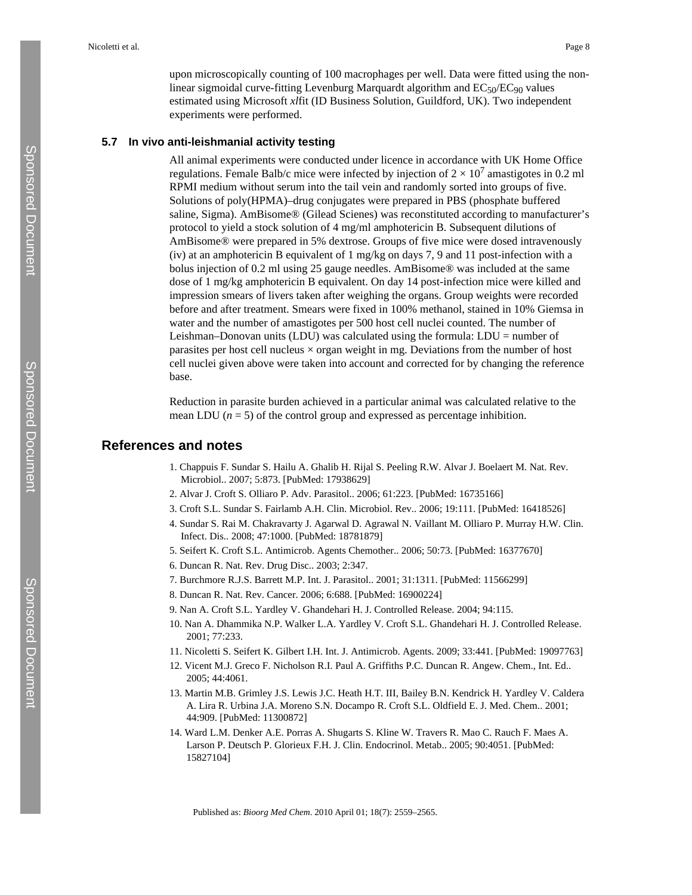upon microscopically counting of 100 macrophages per well. Data were fitted using the nonlinear sigmoidal curve-fitting Levenburg Marquardt algorithm and  $EC_{50}/EC_{90}$  values estimated using Microsoft *xl*fit (ID Business Solution, Guildford, UK). Two independent experiments were performed.

#### **5.7 In vivo anti-leishmanial activity testing**

All animal experiments were conducted under licence in accordance with UK Home Office regulations. Female Balb/c mice were infected by injection of  $2 \times 10^7$  amastigotes in 0.2 ml RPMI medium without serum into the tail vein and randomly sorted into groups of five. Solutions of poly(HPMA)–drug conjugates were prepared in PBS (phosphate buffered saline, Sigma). AmBisome® (Gilead Scienes) was reconstituted according to manufacturer's protocol to yield a stock solution of 4 mg/ml amphotericin B. Subsequent dilutions of AmBisome® were prepared in 5% dextrose. Groups of five mice were dosed intravenously (iv) at an amphotericin B equivalent of 1 mg/kg on days 7, 9 and 11 post-infection with a bolus injection of 0.2 ml using 25 gauge needles. AmBisome® was included at the same dose of 1 mg/kg amphotericin B equivalent. On day 14 post-infection mice were killed and impression smears of livers taken after weighing the organs. Group weights were recorded before and after treatment. Smears were fixed in 100% methanol, stained in 10% Giemsa in water and the number of amastigotes per 500 host cell nuclei counted. The number of Leishman–Donovan units (LDU) was calculated using the formula: LDU = number of parasites per host cell nucleus  $\times$  organ weight in mg. Deviations from the number of host cell nuclei given above were taken into account and corrected for by changing the reference base.

Reduction in parasite burden achieved in a particular animal was calculated relative to the mean LDU  $(n = 5)$  of the control group and expressed as percentage inhibition.

## **References and notes**

- 1. Chappuis F. Sundar S. Hailu A. Ghalib H. Rijal S. Peeling R.W. Alvar J. Boelaert M. Nat. Rev. Microbiol.. 2007; 5:873. [PubMed: 17938629]
- 2. Alvar J. Croft S. Olliaro P. Adv. Parasitol.. 2006; 61:223. [PubMed: 16735166]
- 3. Croft S.L. Sundar S. Fairlamb A.H. Clin. Microbiol. Rev.. 2006; 19:111. [PubMed: 16418526]
- 4. Sundar S. Rai M. Chakravarty J. Agarwal D. Agrawal N. Vaillant M. Olliaro P. Murray H.W. Clin. Infect. Dis.. 2008; 47:1000. [PubMed: 18781879]
- 5. Seifert K. Croft S.L. Antimicrob. Agents Chemother.. 2006; 50:73. [PubMed: 16377670]
- 6. Duncan R. Nat. Rev. Drug Disc.. 2003; 2:347.
- 7. Burchmore R.J.S. Barrett M.P. Int. J. Parasitol.. 2001; 31:1311. [PubMed: 11566299]
- 8. Duncan R. Nat. Rev. Cancer. 2006; 6:688. [PubMed: 16900224]
- 9. Nan A. Croft S.L. Yardley V. Ghandehari H. J. Controlled Release. 2004; 94:115.
- 10. Nan A. Dhammika N.P. Walker L.A. Yardley V. Croft S.L. Ghandehari H. J. Controlled Release. 2001; 77:233.
- 11. Nicoletti S. Seifert K. Gilbert I.H. Int. J. Antimicrob. Agents. 2009; 33:441. [PubMed: 19097763]
- 12. Vicent M.J. Greco F. Nicholson R.I. Paul A. Griffiths P.C. Duncan R. Angew. Chem., Int. Ed.. 2005; 44:4061.
- 13. Martin M.B. Grimley J.S. Lewis J.C. Heath H.T. III, Bailey B.N. Kendrick H. Yardley V. Caldera A. Lira R. Urbina J.A. Moreno S.N. Docampo R. Croft S.L. Oldfield E. J. Med. Chem.. 2001; 44:909. [PubMed: 11300872]
- 14. Ward L.M. Denker A.E. Porras A. Shugarts S. Kline W. Travers R. Mao C. Rauch F. Maes A. Larson P. Deutsch P. Glorieux F.H. J. Clin. Endocrinol. Metab.. 2005; 90:4051. [PubMed: 15827104]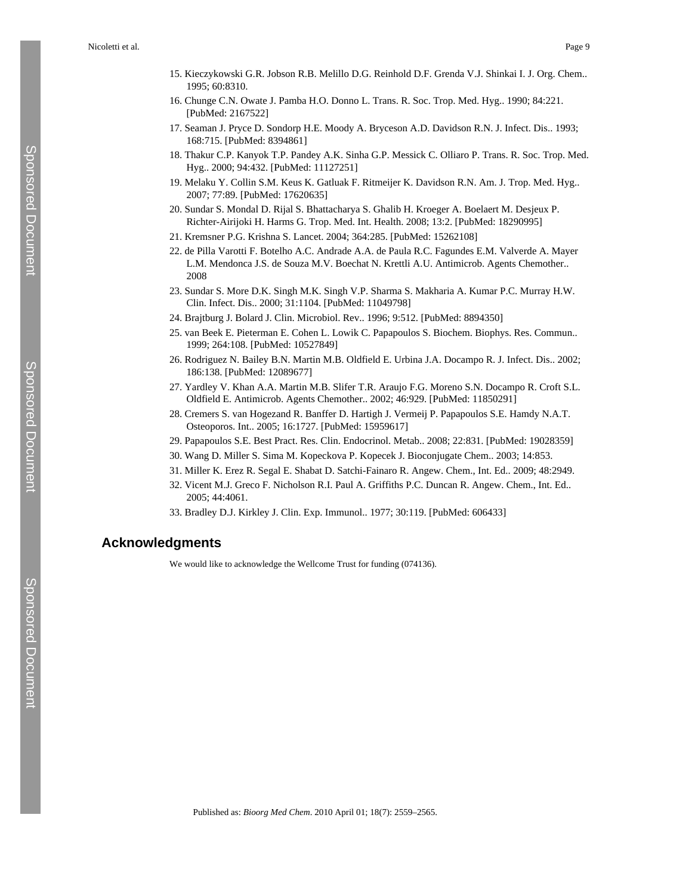Nicoletti et al. Page 9

- 15. Kieczykowski G.R. Jobson R.B. Melillo D.G. Reinhold D.F. Grenda V.J. Shinkai I. J. Org. Chem.. 1995; 60:8310.
- 16. Chunge C.N. Owate J. Pamba H.O. Donno L. Trans. R. Soc. Trop. Med. Hyg.. 1990; 84:221. [PubMed: 2167522]
- 17. Seaman J. Pryce D. Sondorp H.E. Moody A. Bryceson A.D. Davidson R.N. J. Infect. Dis.. 1993; 168:715. [PubMed: 8394861]
- 18. Thakur C.P. Kanyok T.P. Pandey A.K. Sinha G.P. Messick C. Olliaro P. Trans. R. Soc. Trop. Med. Hyg.. 2000; 94:432. [PubMed: 11127251]
- 19. Melaku Y. Collin S.M. Keus K. Gatluak F. Ritmeijer K. Davidson R.N. Am. J. Trop. Med. Hyg.. 2007; 77:89. [PubMed: 17620635]
- 20. Sundar S. Mondal D. Rijal S. Bhattacharya S. Ghalib H. Kroeger A. Boelaert M. Desjeux P. Richter-Airijoki H. Harms G. Trop. Med. Int. Health. 2008; 13:2. [PubMed: 18290995]
- 21. Kremsner P.G. Krishna S. Lancet. 2004; 364:285. [PubMed: 15262108]
- 22. de Pilla Varotti F. Botelho A.C. Andrade A.A. de Paula R.C. Fagundes E.M. Valverde A. Mayer L.M. Mendonca J.S. de Souza M.V. Boechat N. Krettli A.U. Antimicrob. Agents Chemother.. 2008
- 23. Sundar S. More D.K. Singh M.K. Singh V.P. Sharma S. Makharia A. Kumar P.C. Murray H.W. Clin. Infect. Dis.. 2000; 31:1104. [PubMed: 11049798]
- 24. Brajtburg J. Bolard J. Clin. Microbiol. Rev.. 1996; 9:512. [PubMed: 8894350]
- 25. van Beek E. Pieterman E. Cohen L. Lowik C. Papapoulos S. Biochem. Biophys. Res. Commun.. 1999; 264:108. [PubMed: 10527849]
- 26. Rodriguez N. Bailey B.N. Martin M.B. Oldfield E. Urbina J.A. Docampo R. J. Infect. Dis.. 2002; 186:138. [PubMed: 12089677]
- 27. Yardley V. Khan A.A. Martin M.B. Slifer T.R. Araujo F.G. Moreno S.N. Docampo R. Croft S.L. Oldfield E. Antimicrob. Agents Chemother.. 2002; 46:929. [PubMed: 11850291]
- 28. Cremers S. van Hogezand R. Banffer D. Hartigh J. Vermeij P. Papapoulos S.E. Hamdy N.A.T. Osteoporos. Int.. 2005; 16:1727. [PubMed: 15959617]
- 29. Papapoulos S.E. Best Pract. Res. Clin. Endocrinol. Metab.. 2008; 22:831. [PubMed: 19028359]
- 30. Wang D. Miller S. Sima M. Kopeckova P. Kopecek J. Bioconjugate Chem.. 2003; 14:853.
- 31. Miller K. Erez R. Segal E. Shabat D. Satchi-Fainaro R. Angew. Chem., Int. Ed.. 2009; 48:2949.
- 32. Vicent M.J. Greco F. Nicholson R.I. Paul A. Griffiths P.C. Duncan R. Angew. Chem., Int. Ed.. 2005; 44:4061.
- 33. Bradley D.J. Kirkley J. Clin. Exp. Immunol.. 1977; 30:119. [PubMed: 606433]

# **Acknowledgments**

We would like to acknowledge the Wellcome Trust for funding (074136).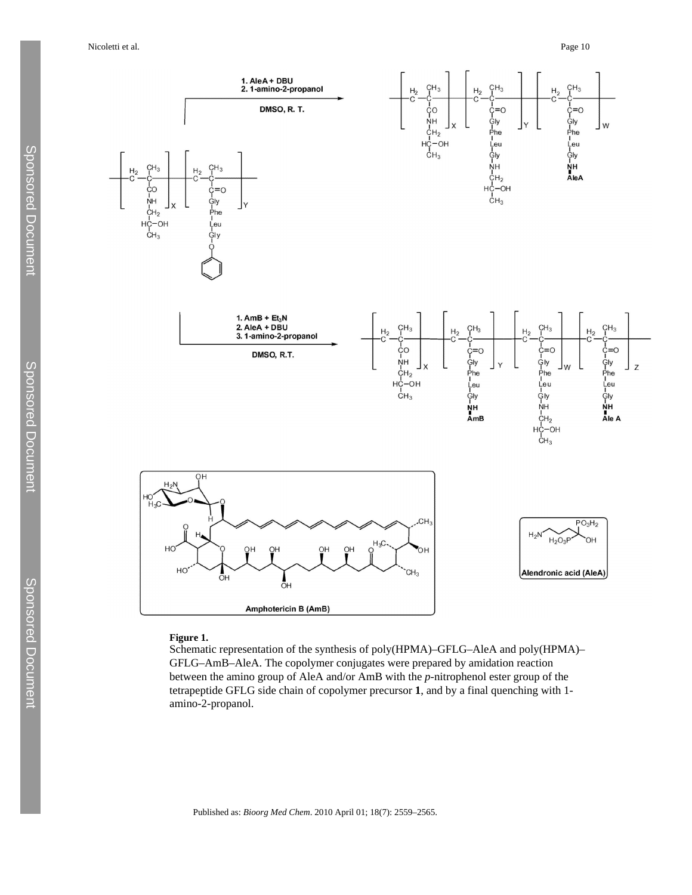Nicoletti et al. Page 10



#### **Figure 1.**

Schematic representation of the synthesis of poly(HPMA)–GFLG–AleA and poly(HPMA)– GFLG–AmB–AleA. The copolymer conjugates were prepared by amidation reaction between the amino group of AleA and/or AmB with the *p*-nitrophenol ester group of the tetrapeptide GFLG side chain of copolymer precursor **1**, and by a final quenching with 1 amino-2-propanol.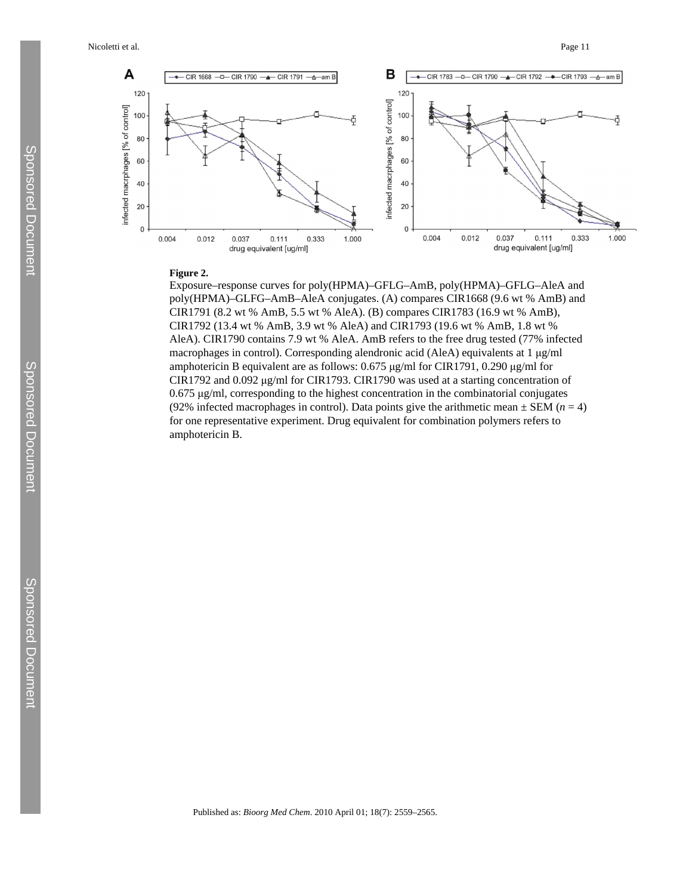Nicoletti et al. Page 11



#### **Figure 2.**

Exposure–response curves for poly(HPMA)–GFLG–AmB, poly(HPMA)–GFLG–AleA and poly(HPMA)–GLFG–AmB–AleA conjugates. (A) compares CIR1668 (9.6 wt % AmB) and CIR1791 (8.2 wt % AmB, 5.5 wt % AleA). (B) compares CIR1783 (16.9 wt % AmB), CIR1792 (13.4 wt % AmB, 3.9 wt % AleA) and CIR1793 (19.6 wt % AmB, 1.8 wt % AleA). CIR1790 contains 7.9 wt % AleA. AmB refers to the free drug tested (77% infected macrophages in control). Corresponding alendronic acid (AleA) equivalents at 1 μg/ml amphotericin B equivalent are as follows: 0.675 μg/ml for CIR1791, 0.290 μg/ml for CIR1792 and 0.092 μg/ml for CIR1793. CIR1790 was used at a starting concentration of 0.675 μg/ml, corresponding to the highest concentration in the combinatorial conjugates (92% infected macrophages in control). Data points give the arithmetic mean  $\pm$  SEM ( $n = 4$ ) for one representative experiment. Drug equivalent for combination polymers refers to amphotericin B.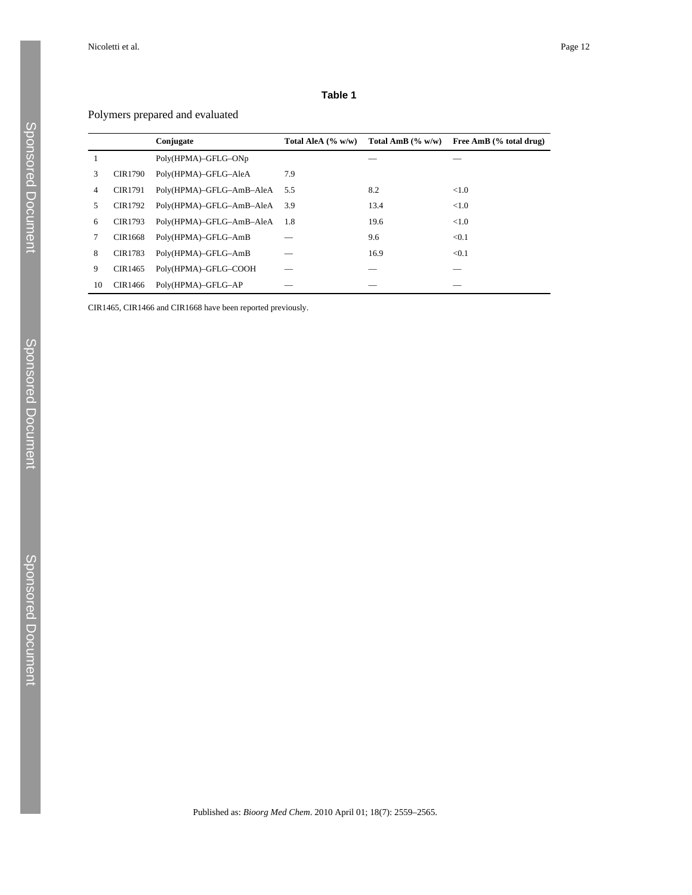#### **Table 1**

# Polymers prepared and evaluated

|        |         | Conjugate                | Total AleA $(\% w/w)$ |      | Total AmB $(\% w/w)$ Free AmB $(\%$ total drug) |
|--------|---------|--------------------------|-----------------------|------|-------------------------------------------------|
|        |         | Poly(HPMA)-GFLG-ONp      |                       |      |                                                 |
| 3      | CIR1790 | Poly(HPMA)-GFLG-AleA     | 7.9                   |      |                                                 |
| 4      | CIR1791 | Poly(HPMA)–GFLG–AmB–AleA | 5.5                   | 8.2  | < 1.0                                           |
| 5.     | CIR1792 | Poly(HPMA)–GFLG–AmB–AleA | 3.9                   | 13.4 | ${<}1.0$                                        |
| 6      | CIR1793 | Poly(HPMA)–GFLG–AmB–AleA | 1.8                   | 19.6 | < 1.0                                           |
| $\tau$ | CIR1668 | Poly(HPMA)-GFLG-AmB      |                       | 9.6  | < 0.1                                           |
| 8      | CIR1783 | Poly(HPMA)-GFLG-AmB      |                       | 16.9 | < 0.1                                           |
| 9      | CIR1465 | Poly(HPMA)-GFLG-COOH     |                       |      |                                                 |
| 10     | CIR1466 | Poly(HPMA)-GFLG-AP       |                       |      |                                                 |

CIR1465, CIR1466 and CIR1668 have been reported previously.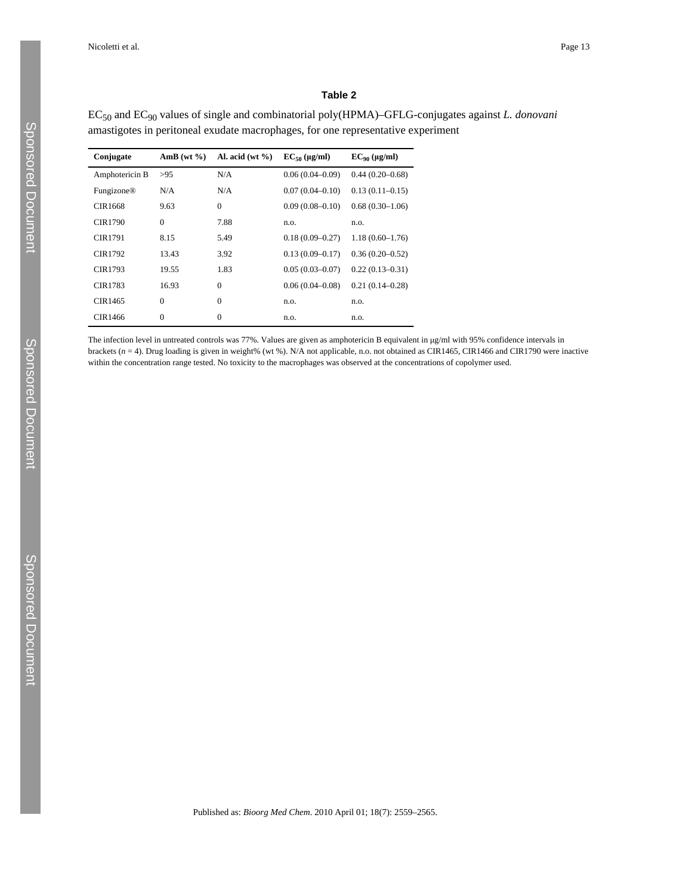#### **Table 2**

EC50 and EC90 values of single and combinatorial poly(HPMA)–GFLG-conjugates against *L. donovani* amastigotes in peritoneal exudate macrophages, for one representative experiment

| Conjugate              | AmB (wt $\%$ ) | Al. acid (wt $\%$ ) | $EC_{50}$ (µg/ml)   | $EC_{90} (\mu g/ml)$ |  |
|------------------------|----------------|---------------------|---------------------|----------------------|--|
| Amphotericin B         | >95            | N/A                 | $0.06(0.04 - 0.09)$ | $0.44(0.20-0.68)$    |  |
| Fungizone <sup>®</sup> | N/A            | N/A                 | $0.07(0.04 - 0.10)$ | $0.13(0.11 - 0.15)$  |  |
| CIR1668                | 9.63           | $\Omega$            | $0.09(0.08-0.10)$   | $0.68(0.30-1.06)$    |  |
| <b>CIR1790</b>         | $\Omega$       | 7.88                | n.o.                | n.o.                 |  |
| <b>CIR1791</b>         | 8.15           | 5.49                | $0.18(0.09 - 0.27)$ | $1.18(0.60-1.76)$    |  |
| CIR1792                | 13.43          | 3.92                | $0.13(0.09 - 0.17)$ | $0.36(0.20-0.52)$    |  |
| CIR1793                | 19.55          | 1.83                | $0.05(0.03-0.07)$   | $0.22(0.13 - 0.31)$  |  |
| CIR1783                | 16.93          | $\mathbf{0}$        | $0.06(0.04 - 0.08)$ | $0.21(0.14 - 0.28)$  |  |
| CIR1465                | $\Omega$       | $\Omega$            | n.o.                | n.o.                 |  |
| CIR1466                | $\Omega$       | $\Omega$            | n.o.                | n.o.                 |  |

The infection level in untreated controls was 77%. Values are given as amphotericin B equivalent in μg/ml with 95% confidence intervals in brackets (*n* = 4). Drug loading is given in weight% (wt %). N/A not applicable, n.o. not obtained as CIR1465, CIR1466 and CIR1790 were inactive within the concentration range tested. No toxicity to the macrophages was observed at the concentrations of copolymer used.